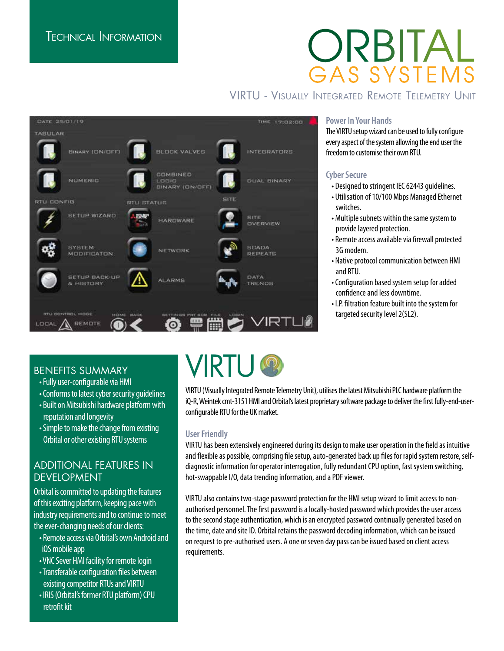# ORBITAI GAS SYSTEMS

# VIRTU - Visually Integrated Remote Telemetry Unit



#### **Power In Your Hands**

The VIRTU setup wizard can be used to fully configure every aspect of the system allowing the end user the freedom to customise their own RTU.

### **Cyber Secure**

• Designed to stringent IEC 62443 guidelines.

- Utilisation of 10/100 Mbps Managed Ethernet switches.
- Multiple subnets within the same system to provide layered protection.
- Remote access available via firewall protected 3G modem.
- Native protocol communication between HMI and RTU.
- Configuration based system setup for added confidence and less downtime.
- I.P. filtration feature built into the system for targeted security level 2(SL2).

## BENEFITS SUMMARY

- Fully user-configurable via HMI
- Conforms to latest cyber security guidelines
- Built on Mitsubishi hardware platform with reputation and longevity
- Simple to make the change from existing Orbital or other existing RTU systems

### ADDITIONAL FEATURES IN DEVELOPMENT

Orbital is committed to updating the features of this exciting platform, keeping pace with industry requirements and to continue to meet the ever-changing needs of our clients:

- Remote access via Orbital's own Android and iOS mobile app
- VNC Sever HMI facility for remote login
- Transferable configuration files between existing competitor RTUs and VIRTU
- IRIS (Orbital's former RTU platform) CPU retrofit kit

# **IRTU**

VIRTU (Visually Integrated Remote Telemetry Unit), utilises the latest Mitsubishi PLC hardware platform the iQ-R, Weintek cmt-3151 HMI and Orbital's latest proprietary software package to deliver the first fully-end-userconfigurable RTU for the UK market.

### **User Friendly**

VIRTU has been extensively engineered during its design to make user operation in the field as intuitive and flexible as possible, comprising file setup, auto-generated back up files for rapid system restore, selfdiagnostic information for operator interrogation, fully redundant CPU option, fast system switching, hot-swappable I/O, data trending information, and a PDF viewer.

VIRTU also contains two-stage password protection for the HMI setup wizard to limit access to nonauthorised personnel. The first password is a locally-hosted password which provides the user access to the second stage authentication, which is an encrypted password continually generated based on the time, date and site ID. Orbital retains the password decoding information, which can be issued on request to pre-authorised users. A one or seven day pass can be issued based on client access requirements.